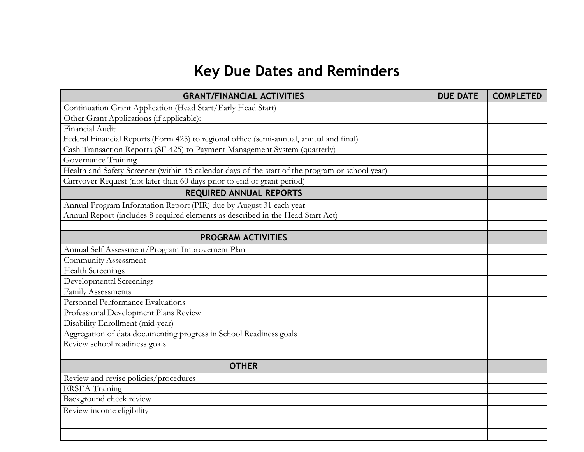## **Key Due Dates and Reminders**

| <b>GRANT/FINANCIAL ACTIVITIES</b>                                                               | <b>DUE DATE</b> | <b>COMPLETED</b> |
|-------------------------------------------------------------------------------------------------|-----------------|------------------|
| Continuation Grant Application (Head Start/Early Head Start)                                    |                 |                  |
| Other Grant Applications (if applicable):                                                       |                 |                  |
| Financial Audit                                                                                 |                 |                  |
| Federal Financial Reports (Form 425) to regional office (semi-annual, annual and final)         |                 |                  |
| Cash Transaction Reports (SF-425) to Payment Management System (quarterly)                      |                 |                  |
| Governance Training                                                                             |                 |                  |
| Health and Safety Screener (within 45 calendar days of the start of the program or school year) |                 |                  |
| Carryover Request (not later than 60 days prior to end of grant period)                         |                 |                  |
| <b>REQUIRED ANNUAL REPORTS</b>                                                                  |                 |                  |
| Annual Program Information Report (PIR) due by August 31 each year                              |                 |                  |
| Annual Report (includes 8 required elements as described in the Head Start Act)                 |                 |                  |
|                                                                                                 |                 |                  |
| <b>PROGRAM ACTIVITIES</b>                                                                       |                 |                  |
| Annual Self Assessment/Program Improvement Plan                                                 |                 |                  |
| <b>Community Assessment</b>                                                                     |                 |                  |
| <b>Health Screenings</b>                                                                        |                 |                  |
| Developmental Screenings                                                                        |                 |                  |
| <b>Family Assessments</b>                                                                       |                 |                  |
| Personnel Performance Evaluations                                                               |                 |                  |
| Professional Development Plans Review                                                           |                 |                  |
| Disability Enrollment (mid-year)                                                                |                 |                  |
| Aggregation of data documenting progress in School Readiness goals                              |                 |                  |
| Review school readiness goals                                                                   |                 |                  |
|                                                                                                 |                 |                  |
| <b>OTHER</b>                                                                                    |                 |                  |
| Review and revise policies/procedures                                                           |                 |                  |
| <b>ERSEA</b> Training                                                                           |                 |                  |
| Background check review                                                                         |                 |                  |
| Review income eligibility                                                                       |                 |                  |
|                                                                                                 |                 |                  |
|                                                                                                 |                 |                  |